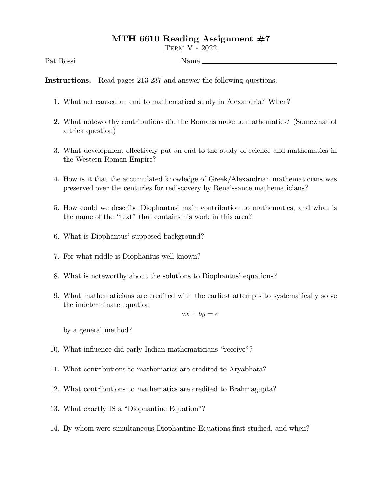## MTH 6610 Reading Assignment  $#7$

Term V - 2022

Pat Rossi Name

Instructions. Read pages 213-237 and answer the following questions.

- 1. What act caused an end to mathematical study in Alexandria? When?
- 2. What noteworthy contributions did the Romans make to mathematics? (Somewhat of a trick question)
- 3. What development effectively put an end to the study of science and mathematics in the Western Roman Empire?
- 4. How is it that the accumulated knowledge of Greek/Alexandrian mathematicians was preserved over the centuries for rediscovery by Renaissance mathematicians?
- 5. How could we describe Diophantusímain contribution to mathematics, and what is the name of the "text" that contains his work in this area?
- 6. What is Diophantus' supposed background?
- 7. For what riddle is Diophantus well known?
- 8. What is noteworthy about the solutions to Diophantus' equations?
- 9. What mathematicians are credited with the earliest attempts to systematically solve the indeterminate equation

$$
ax + by = c
$$

by a general method?

- 10. What influence did early Indian mathematicians "receive"?
- 11. What contributions to mathematics are credited to Aryabhata?
- 12. What contributions to mathematics are credited to Brahmagupta?
- 13. What exactly IS a "Diophantine Equation"?
- 14. By whom were simultaneous Diophantine Equations first studied, and when?